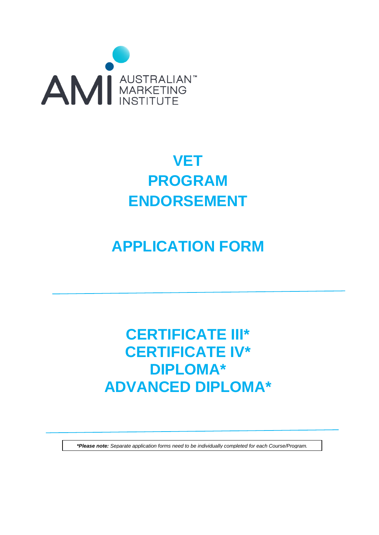

# **VET PROGRAM ENDORSEMENT**

# **APPLICATION FORM**

# **CERTIFICATE III\* CERTIFICATE IV\* DIPLOMA\* ADVANCED DIPLOMA\***

*\*Please note: Separate application forms need to be individually completed for each Course/Program.*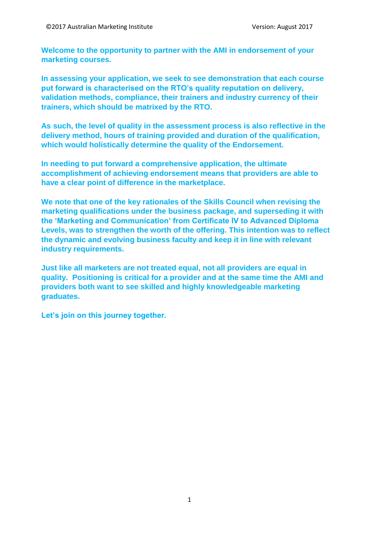**Welcome to the opportunity to partner with the AMI in endorsement of your marketing courses.**

**In assessing your application, we seek to see demonstration that each course put forward is characterised on the RTO's quality reputation on delivery, validation methods, compliance, their trainers and industry currency of their trainers, which should be matrixed by the RTO.**

**As such, the level of quality in the assessment process is also reflective in the delivery method, hours of training provided and duration of the qualification, which would holistically determine the quality of the Endorsement.**

**In needing to put forward a comprehensive application, the ultimate accomplishment of achieving endorsement means that providers are able to have a clear point of difference in the marketplace.**

**We note that one of the key rationales of the Skills Council when revising the marketing qualifications under the business package, and superseding it with the 'Marketing and Communication' from Certificate IV to Advanced Diploma Levels, was to strengthen the worth of the offering. This intention was to reflect the dynamic and evolving business faculty and keep it in line with relevant industry requirements.** 

**Just like all marketers are not treated equal, not all providers are equal in quality. Positioning is critical for a provider and at the same time the AMI and providers both want to see skilled and highly knowledgeable marketing graduates.** 

**Let's join on this journey together.**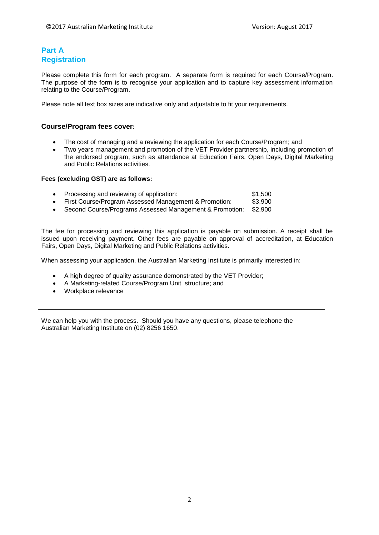## **Part A Registration**

Please complete this form for each program. A separate form is required for each Course/Program. The purpose of the form is to recognise your application and to capture key assessment information relating to the Course/Program.

Please note all text box sizes are indicative only and adjustable to fit your requirements.

#### **Course/Program fees cover:**

- The cost of managing and a reviewing the application for each Course/Program; and
- Two years management and promotion of the VET Provider partnership, including promotion of the endorsed program, such as attendance at Education Fairs, Open Days, Digital Marketing and Public Relations activities.

#### **Fees (excluding GST) are as follows:**

- **Processing and reviewing of application:** \$1,500
- First Course/Program Assessed Management & Promotion: \$3,900
- Second Course/Programs Assessed Management & Promotion: \$2,900

The fee for processing and reviewing this application is payable on submission. A receipt shall be issued upon receiving payment. Other fees are payable on approval of accreditation, at Education Fairs, Open Days, Digital Marketing and Public Relations activities.

When assessing your application, the Australian Marketing Institute is primarily interested in:

- A high degree of quality assurance demonstrated by the VET Provider;
- A Marketing-related Course/Program Unit structure; and
- Workplace relevance

We can help you with the process. Should you have any questions, please telephone the Australian Marketing Institute on (02) 8256 1650.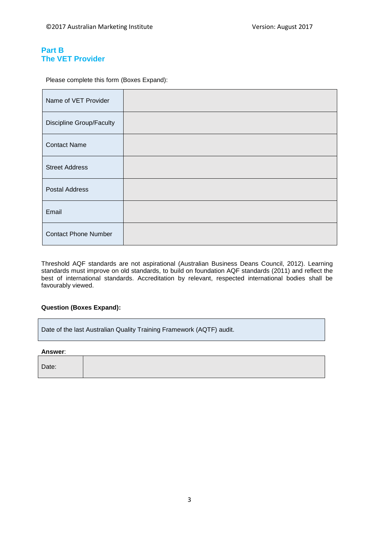## **Part B The VET Provider**

Please complete this form (Boxes Expand):

| Name of VET Provider            |  |
|---------------------------------|--|
| <b>Discipline Group/Faculty</b> |  |
| <b>Contact Name</b>             |  |
| <b>Street Address</b>           |  |
| <b>Postal Address</b>           |  |
| Email                           |  |
| <b>Contact Phone Number</b>     |  |

Threshold AQF standards are not aspirational (Australian Business Deans Council, 2012). Learning standards must improve on old standards, to build on foundation AQF standards (2011) and reflect the best of international standards. Accreditation by relevant, respected international bodies shall be favourably viewed.

#### **Question (Boxes Expand):**

Date of the last Australian Quality Training Framework (AQTF) audit.

**Answer**:

Date: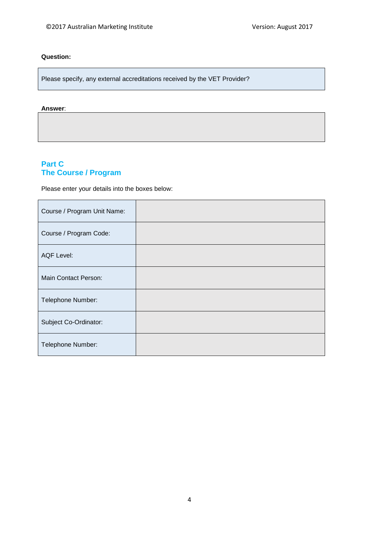#### **Question:**

Please specify, any external accreditations received by the VET Provider?

#### **Answer**:

# **Part C The Course / Program**

Please enter your details into the boxes below:

| Course / Program Unit Name: |  |
|-----------------------------|--|
| Course / Program Code:      |  |
| <b>AQF Level:</b>           |  |
| Main Contact Person:        |  |
| Telephone Number:           |  |
| Subject Co-Ordinator:       |  |
| Telephone Number:           |  |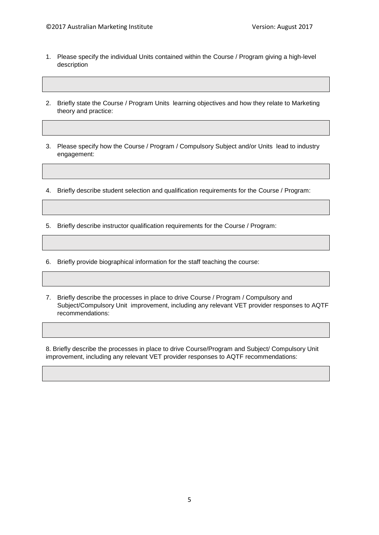- 1. Please specify the individual Units contained within the Course / Program giving a high-level description
- 2. Briefly state the Course / Program Units learning objectives and how they relate to Marketing theory and practice:
- 3. Please specify how the Course / Program / Compulsory Subject and/or Units lead to industry engagement:
- 4. Briefly describe student selection and qualification requirements for the Course / Program:
- 5. Briefly describe instructor qualification requirements for the Course / Program:
- 6. Briefly provide biographical information for the staff teaching the course:
- 7. Briefly describe the processes in place to drive Course / Program / Compulsory and Subject/Compulsory Unit improvement, including any relevant VET provider responses to AQTF recommendations:

8. Briefly describe the processes in place to drive Course/Program and Subject/ Compulsory Unit improvement, including any relevant VET provider responses to AQTF recommendations: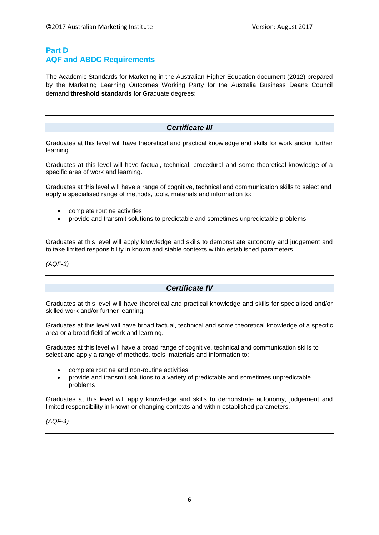### **Part D AQF and ABDC Requirements**

The Academic Standards for Marketing in the Australian Higher Education document (2012) prepared by the Marketing Learning Outcomes Working Party for the Australia Business Deans Council demand **threshold standards** for Graduate degrees:

#### *Certificate III*

Graduates at this level will have theoretical and practical knowledge and skills for work and/or further learning.

Graduates at this level will have factual, technical, procedural and some theoretical knowledge of a specific area of work and learning.

Graduates at this level will have a range of cognitive, technical and communication skills to select and apply a specialised range of methods, tools, materials and information to:

- complete routine activities
- provide and transmit solutions to predictable and sometimes unpredictable problems

Graduates at this level will apply knowledge and skills to demonstrate autonomy and judgement and to take limited responsibility in known and stable contexts within established parameters

*(AQF-3)*

#### *Certificate IV*

Graduates at this level will have theoretical and practical knowledge and skills for specialised and/or skilled work and/or further learning.

Graduates at this level will have broad factual, technical and some theoretical knowledge of a specific area or a broad field of work and learning.

Graduates at this level will have a broad range of cognitive, technical and communication skills to select and apply a range of methods, tools, materials and information to:

- complete routine and non-routine activities
- provide and transmit solutions to a variety of predictable and sometimes unpredictable problems

Graduates at this level will apply knowledge and skills to demonstrate autonomy, judgement and limited responsibility in known or changing contexts and within established parameters.

*(AQF-4)*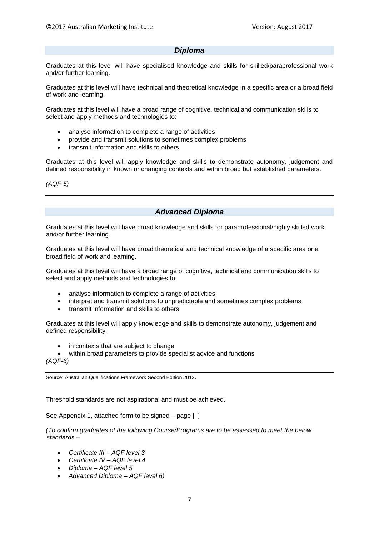#### *Diploma*

Graduates at this level will have specialised knowledge and skills for skilled/paraprofessional work and/or further learning.

Graduates at this level will have technical and theoretical knowledge in a specific area or a broad field of work and learning.

Graduates at this level will have a broad range of cognitive, technical and communication skills to select and apply methods and technologies to:

- analyse information to complete a range of activities
- provide and transmit solutions to sometimes complex problems
- transmit information and skills to others

Graduates at this level will apply knowledge and skills to demonstrate autonomy, judgement and defined responsibility in known or changing contexts and within broad but established parameters.

*(AQF-5)*

### *Advanced Diploma*

Graduates at this level will have broad knowledge and skills for paraprofessional/highly skilled work and/or further learning.

Graduates at this level will have broad theoretical and technical knowledge of a specific area or a broad field of work and learning.

Graduates at this level will have a broad range of cognitive, technical and communication skills to select and apply methods and technologies to:

- analyse information to complete a range of activities
- interpret and transmit solutions to unpredictable and sometimes complex problems
- transmit information and skills to others

Graduates at this level will apply knowledge and skills to demonstrate autonomy, judgement and defined responsibility:

in contexts that are subject to change

within broad parameters to provide specialist advice and functions *(AQF-6)*

Source: Australian Qualifications Framework Second Edition 2013.

Threshold standards are not aspirational and must be achieved.

See Appendix 1, attached form to be signed – page [ ]

*(To confirm graduates of the following Course/Programs are to be assessed to meet the below standards –*

- *Certificate III – AQF level 3*
- *Certificate IV – AQF level 4*
- *Diploma – AQF level 5*
- *Advanced Diploma – AQF level 6)*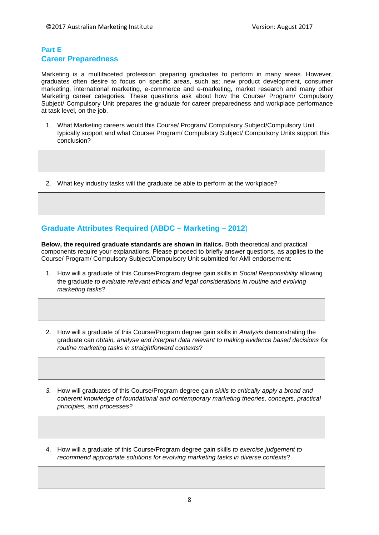#### **Part E Career Preparedness**

Marketing is a multifaceted profession preparing graduates to perform in many areas. However, graduates often desire to focus on specific areas, such as; new product development, consumer marketing, international marketing, e-commerce and e-marketing, market research and many other Marketing career categories. These questions ask about how the Course/ Program/ Compulsory Subject/ Compulsory Unit prepares the graduate for career preparedness and workplace performance at task level, on the job.

- 1. What Marketing careers would this Course/ Program/ Compulsory Subject/Compulsory Unit typically support and what Course/ Program/ Compulsory Subject/ Compulsory Units support this conclusion?
- 2. What key industry tasks will the graduate be able to perform at the workplace?

## **Graduate Attributes Required (ABDC – Marketing – 2012**)

**Below, the required graduate standards are shown in italics.** Both theoretical and practical components require your explanations. Please proceed to briefly answer questions, as applies to the Course/ Program/ Compulsory Subject/Compulsory Unit submitted for AMI endorsement:

- 1. How will a graduate of this Course/Program degree gain skills in *Social Responsibility* allowing the graduate *to evaluate relevant ethical and legal considerations in routine and evolving marketing tasks*?
- 2. How will a graduate of this Course/Program degree gain skills in *Analysis* demonstrating the graduate can *obtain, analyse and interpret data relevant to making evidence based decisions for routine marketing tasks in straightforward contexts*?
- *3.* How will graduates of this Course/Program degree gain *skills to critically apply a broad and coherent knowledge of foundational and contemporary marketing theories, concepts, practical principles, and processes?*
- 4. How will a graduate of this Course/Program degree gain skills *to exercise judgement to recommend appropriate solutions for evolving marketing tasks in diverse contexts*?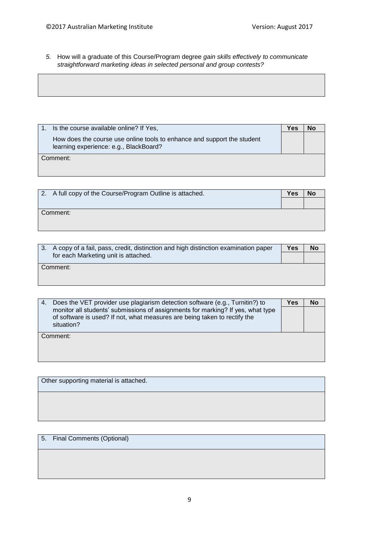*5.* How will a graduate of this Course/Program degree *gain skills effectively to communicate straightforward marketing ideas in selected personal and group contests?*

|          | Is the course available online? If Yes,                                                                           | Yes |  |
|----------|-------------------------------------------------------------------------------------------------------------------|-----|--|
|          | How does the course use online tools to enhance and support the student<br>learning experience: e.g., BlackBoard? |     |  |
| Comment: |                                                                                                                   |     |  |
|          |                                                                                                                   |     |  |

| 2. A full copy of the Course/Program Outline is attached. | <b>Yes</b> |  |
|-----------------------------------------------------------|------------|--|
|                                                           |            |  |
| Comment:                                                  |            |  |
|                                                           |            |  |

| 3. A copy of a fail, pass, credit, distinction and high distinction examination paper | Yes | No |
|---------------------------------------------------------------------------------------|-----|----|
| for each Marketing unit is attached.                                                  |     |    |
| Comment:                                                                              |     |    |
|                                                                                       |     |    |

| 4. | Does the VET provider use plagiarism detection software (e.g., Turnitin?) to                                                                                 | Yes | No |
|----|--------------------------------------------------------------------------------------------------------------------------------------------------------------|-----|----|
|    | monitor all students' submissions of assignments for marking? If yes, what type<br>of software is used? If not, what measures are being taken to rectify the |     |    |
|    | situation?                                                                                                                                                   |     |    |
|    | Comment:                                                                                                                                                     |     |    |
|    |                                                                                                                                                              |     |    |
|    |                                                                                                                                                              |     |    |

Other supporting material is attached.

5. Final Comments (Optional)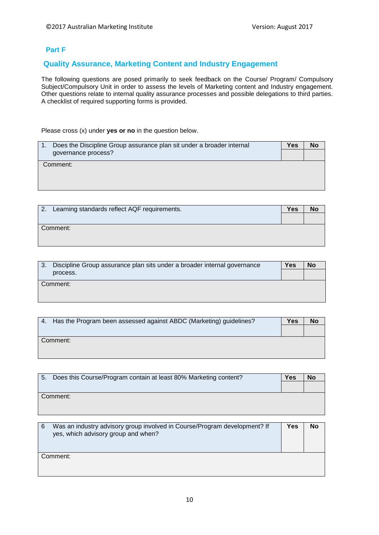#### **Part F**

## **Quality Assurance, Marketing Content and Industry Engagement**

The following questions are posed primarily to seek feedback on the Course/ Program/ Compulsory Subject/Compulsory Unit in order to assess the levels of Marketing content and Industry engagement. Other questions relate to internal quality assurance processes and possible delegations to third parties. A checklist of required supporting forms is provided.

Please cross (x) under **yes or no** in the question below.

| Does the Discipline Group assurance plan sit under a broader internal | Yes | No |
|-----------------------------------------------------------------------|-----|----|
| governance process?                                                   |     |    |
| Comment:                                                              |     |    |
|                                                                       |     |    |

| 2. Learning standards reflect AQF requirements. | <b>Yes</b> | No |
|-------------------------------------------------|------------|----|
| Comment:                                        |            |    |

| 3. Discipline Group assurance plan sits under a broader internal governance | Yes | <b>No</b> |
|-----------------------------------------------------------------------------|-----|-----------|
| process.                                                                    |     |           |
| Comment:                                                                    |     |           |
|                                                                             |     |           |

| Has the Program been assessed against ABDC (Marketing) guidelines?<br>4. | Yes | No |
|--------------------------------------------------------------------------|-----|----|
|                                                                          |     |    |
| Comment:                                                                 |     |    |

|          | 5. Does this Course/Program contain at least 80% Marketing content? | Yes | <b>NO</b> |
|----------|---------------------------------------------------------------------|-----|-----------|
|          |                                                                     |     |           |
| Comment: |                                                                     |     |           |

| Was an industry advisory group involved in Course/Program development? If<br>6<br>yes, which advisory group and when? | Yes | No |
|-----------------------------------------------------------------------------------------------------------------------|-----|----|
| Comment:                                                                                                              |     |    |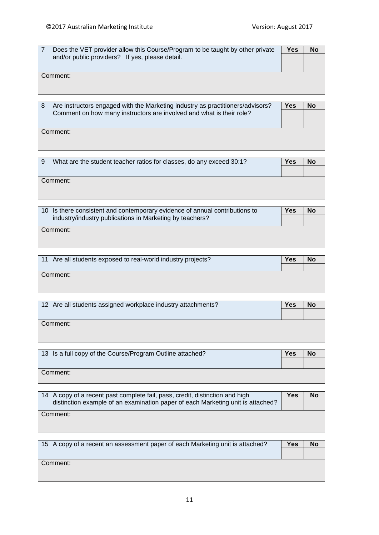| Does the VET provider allow this Course/Program to be taught by other private | Yes | No |
|-------------------------------------------------------------------------------|-----|----|
| and/or public providers? If yes, please detail.                               |     |    |
|                                                                               |     |    |
| Comment:                                                                      |     |    |
|                                                                               |     |    |
|                                                                               |     |    |

| Are instructors engaged with the Marketing industry as practitioners/advisors? | Yes | No |
|--------------------------------------------------------------------------------|-----|----|
| Comment on how many instructors are involved and what is their role?           |     |    |
|                                                                                |     |    |
| Comment:                                                                       |     |    |
|                                                                                |     |    |
|                                                                                |     |    |

| - 9 | What are the student teacher ratios for classes, do any exceed 30:1? | Yes | No |
|-----|----------------------------------------------------------------------|-----|----|
|     |                                                                      |     |    |
|     | Comment:                                                             |     |    |
|     |                                                                      |     |    |

| 10 Is there consistent and contemporary evidence of annual contributions to | Yes | No |
|-----------------------------------------------------------------------------|-----|----|
| industry/industry publications in Marketing by teachers?                    |     |    |
| Comment:                                                                    |     |    |
|                                                                             |     |    |

| 11 Are all students exposed to real-world industry projects? | Yes | No |
|--------------------------------------------------------------|-----|----|
|                                                              |     |    |
| Comment:                                                     |     |    |
|                                                              |     |    |
|                                                              |     |    |

| 12 Are all students assigned workplace industry attachments? | Yes | <b>No</b> |
|--------------------------------------------------------------|-----|-----------|
|                                                              |     |           |
| Comment:                                                     |     |           |
|                                                              |     |           |

| 13 Is a full copy of the Course/Program Outline attached? | Yes | No |
|-----------------------------------------------------------|-----|----|
|                                                           |     |    |
| Comment:                                                  |     |    |
|                                                           |     |    |

| 14 A copy of a recent past complete fail, pass, credit, distinction and high    | Yes | No |
|---------------------------------------------------------------------------------|-----|----|
| distinction example of an examination paper of each Marketing unit is attached? |     |    |
| Comment:                                                                        |     |    |
|                                                                                 |     |    |

| 15 A copy of a recent an assessment paper of each Marketing unit is attached? | Yes | <b>No</b> |
|-------------------------------------------------------------------------------|-----|-----------|
|                                                                               |     |           |
| Comment:                                                                      |     |           |
|                                                                               |     |           |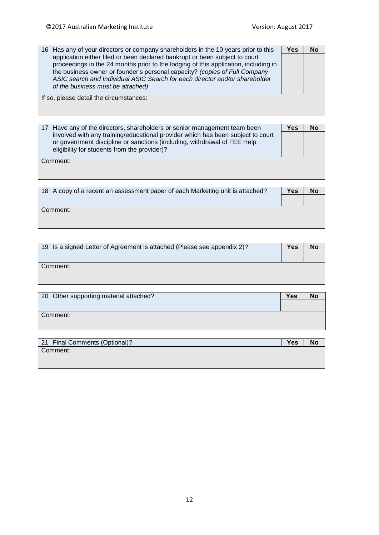| 16 Has any of your directors or company shareholders in the 10 years prior to this  | Yes | <b>No</b> |
|-------------------------------------------------------------------------------------|-----|-----------|
| application either filed or been declared bankrupt or been subject to court         |     |           |
| proceedings in the 24 months prior to the lodging of this application, including in |     |           |
| the business owner or founder's personal capacity? (copies of Full Company          |     |           |
| ASIC search and Individual ASIC Search for each director and/or shareholder         |     |           |
| of the business must be attached)                                                   |     |           |
| If so, please detail the circumstances:                                             |     |           |
|                                                                                     |     |           |
|                                                                                     |     |           |

| 17 Have any of the directors, shareholders or senior management team been                                                                                                                                   | Yes | No |
|-------------------------------------------------------------------------------------------------------------------------------------------------------------------------------------------------------------|-----|----|
| involved with any training/educational provider which has been subject to court<br>or government discipline or sanctions (including, withdrawal of FEE Help<br>eligibility for students from the provider)? |     |    |
| Comment:                                                                                                                                                                                                    |     |    |

| 18 A copy of a recent an assessment paper of each Marketing unit is attached? | Yes | No |
|-------------------------------------------------------------------------------|-----|----|
|                                                                               |     |    |
| Comment:                                                                      |     |    |
|                                                                               |     |    |

| 19 Is a signed Letter of Agreement is attached (Please see appendix 2)? | Yes | No |
|-------------------------------------------------------------------------|-----|----|
|                                                                         |     |    |
| Comment:                                                                |     |    |

| 20 Other supporting material attached? | Yes | <b>No</b> |
|----------------------------------------|-----|-----------|
|                                        |     |           |
| Comment:                               |     |           |
|                                        |     |           |

| 21 Final Comments (Optional)? | Yes | <b>No</b> |
|-------------------------------|-----|-----------|
| Comment:                      |     |           |
|                               |     |           |
|                               |     |           |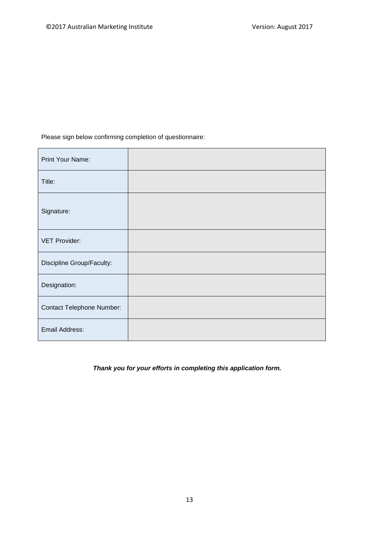Please sign below confirming completion of questionnaire:

| Print Your Name:                 |  |
|----------------------------------|--|
| Title:                           |  |
| Signature:                       |  |
| <b>VET Provider:</b>             |  |
| Discipline Group/Faculty:        |  |
| Designation:                     |  |
| <b>Contact Telephone Number:</b> |  |
| Email Address:                   |  |

*Thank you for your efforts in completing this application form.*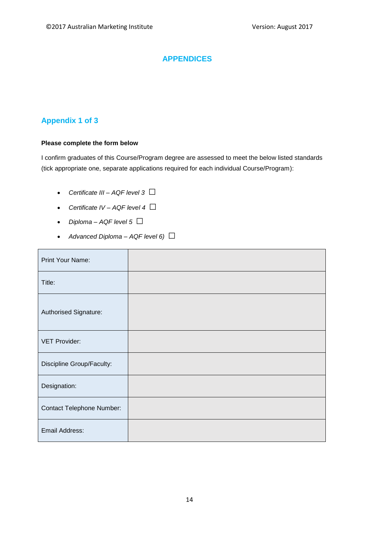# **APPENDICES**

# **Appendix 1 of 3**

r.

### **Please complete the form below**

I confirm graduates of this Course/Program degree are assessed to meet the below listed standards (tick appropriate one, separate applications required for each individual Course/Program):

- *Certificate III – AQF level 3 □*
- *Certificate IV – AQF level 4 □*
- *Diploma*  $AQF$  *level*  $5 \Box$
- *Advanced Diploma AQF level 6)*  $\Box$

| Print Your Name:                 |  |
|----------------------------------|--|
| Title:                           |  |
| Authorised Signature:            |  |
| <b>VET Provider:</b>             |  |
| Discipline Group/Faculty:        |  |
| Designation:                     |  |
| <b>Contact Telephone Number:</b> |  |
| Email Address:                   |  |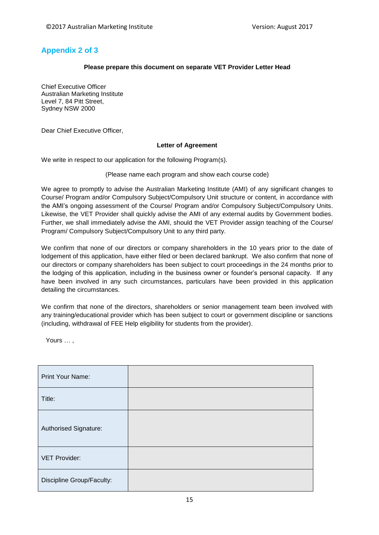# **Appendix 2 of 3**

#### **Please prepare this document on separate VET Provider Letter Head**

Chief Executive Officer Australian Marketing Institute Level 7, 84 Pitt Street, Sydney NSW 2000

Dear Chief Executive Officer,

#### **Letter of Agreement**

We write in respect to our application for the following Program(s).

#### (Please name each program and show each course code)

We agree to promptly to advise the Australian Marketing Institute (AMI) of any significant changes to Course/ Program and/or Compulsory Subject/Compulsory Unit structure or content, in accordance with the AMI's ongoing assessment of the Course/ Program and/or Compulsory Subject/Compulsory Units. Likewise, the VET Provider shall quickly advise the AMI of any external audits by Government bodies. Further, we shall immediately advise the AMI, should the VET Provider assign teaching of the Course/ Program/ Compulsory Subject/Compulsory Unit to any third party.

We confirm that none of our directors or company shareholders in the 10 years prior to the date of lodgement of this application, have either filed or been declared bankrupt. We also confirm that none of our directors or company shareholders has been subject to court proceedings in the 24 months prior to the lodging of this application, including in the business owner or founder's personal capacity. If any have been involved in any such circumstances, particulars have been provided in this application detailing the circumstances.

We confirm that none of the directors, shareholders or senior management team been involved with any training/educational provider which has been subject to court or government discipline or sanctions (including, withdrawal of FEE Help eligibility for students from the provider).

Yours … ,

| Print Your Name:          |  |
|---------------------------|--|
| Title:                    |  |
| Authorised Signature:     |  |
| <b>VET Provider:</b>      |  |
| Discipline Group/Faculty: |  |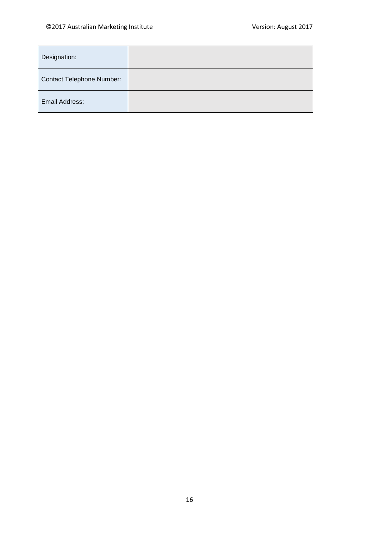| Designation:                     |  |
|----------------------------------|--|
| <b>Contact Telephone Number:</b> |  |
| Email Address:                   |  |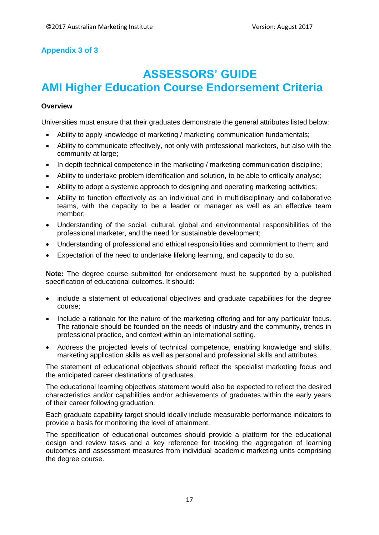# **Appendix 3 of 3**

# **ASSESSORS' GUIDE AMI Higher Education Course Endorsement Criteria**

#### **Overview**

Universities must ensure that their graduates demonstrate the general attributes listed below:

- Ability to apply knowledge of marketing / marketing communication fundamentals;
- Ability to communicate effectively, not only with professional marketers, but also with the community at large;
- In depth technical competence in the marketing / marketing communication discipline;
- Ability to undertake problem identification and solution, to be able to critically analyse;
- Ability to adopt a systemic approach to designing and operating marketing activities;
- Ability to function effectively as an individual and in multidisciplinary and collaborative teams, with the capacity to be a leader or manager as well as an effective team member;
- Understanding of the social, cultural, global and environmental responsibilities of the professional marketer, and the need for sustainable development;
- Understanding of professional and ethical responsibilities and commitment to them; and
- Expectation of the need to undertake lifelong learning, and capacity to do so.

**Note:** The degree course submitted for endorsement must be supported by a published specification of educational outcomes. It should:

- include a statement of educational objectives and graduate capabilities for the degree course;
- Include a rationale for the nature of the marketing offering and for any particular focus. The rationale should be founded on the needs of industry and the community, trends in professional practice, and context within an international setting.
- Address the projected levels of technical competence, enabling knowledge and skills, marketing application skills as well as personal and professional skills and attributes.

The statement of educational objectives should reflect the specialist marketing focus and the anticipated career destinations of graduates.

The educational learning objectives statement would also be expected to reflect the desired characteristics and/or capabilities and/or achievements of graduates within the early years of their career following graduation.

Each graduate capability target should ideally include measurable performance indicators to provide a basis for monitoring the level of attainment.

The specification of educational outcomes should provide a platform for the educational design and review tasks and a key reference for tracking the aggregation of learning outcomes and assessment measures from individual academic marketing units comprising the degree course.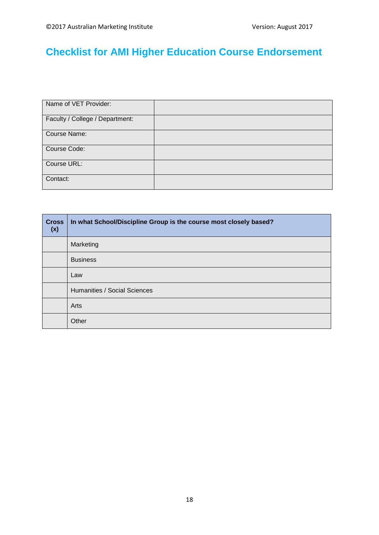# **Checklist for AMI Higher Education Course Endorsement**

| Name of VET Provider:           |  |
|---------------------------------|--|
| Faculty / College / Department: |  |
| Course Name:                    |  |
| Course Code:                    |  |
| Course URL:                     |  |
| Contact:                        |  |

| <b>Cross</b><br>(x) | In what School/Discipline Group is the course most closely based? |
|---------------------|-------------------------------------------------------------------|
|                     | Marketing                                                         |
|                     | <b>Business</b>                                                   |
|                     | Law                                                               |
|                     | Humanities / Social Sciences                                      |
|                     | Arts                                                              |
|                     | Other                                                             |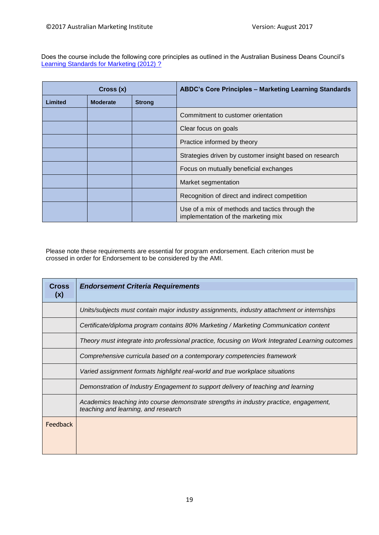Does the course include the following core principles as outlined in the Australian Business Deans Council's [Learning Standards for Marketing \(2012\)](http://www.abdc.edu.au/data/Marketing_LS/Marketing_Learning_Standards_-_September_2012.pdf) ?

| Cross (x) |                 |               | <b>ABDC's Core Principles - Marketing Learning Standards</b>                           |
|-----------|-----------------|---------------|----------------------------------------------------------------------------------------|
| Limited   | <b>Moderate</b> | <b>Strong</b> |                                                                                        |
|           |                 |               | Commitment to customer orientation                                                     |
|           |                 |               | Clear focus on goals                                                                   |
|           |                 |               | Practice informed by theory                                                            |
|           |                 |               | Strategies driven by customer insight based on research                                |
|           |                 |               | Focus on mutually beneficial exchanges                                                 |
|           |                 |               | Market segmentation                                                                    |
|           |                 |               | Recognition of direct and indirect competition                                         |
|           |                 |               | Use of a mix of methods and tactics through the<br>implementation of the marketing mix |

Please note these requirements are essential for program endorsement. Each criterion must be crossed in order for Endorsement to be considered by the AMI.

| <b>Cross</b><br>(x) | <b>Endorsement Criteria Requirements</b>                                                                                      |
|---------------------|-------------------------------------------------------------------------------------------------------------------------------|
|                     | Units/subjects must contain major industry assignments, industry attachment or internships                                    |
|                     | Certificate/diploma program contains 80% Marketing / Marketing Communication content                                          |
|                     | Theory must integrate into professional practice, focusing on Work Integrated Learning outcomes                               |
|                     | Comprehensive curricula based on a contemporary competencies framework                                                        |
|                     | Varied assignment formats highlight real-world and true workplace situations                                                  |
|                     | Demonstration of Industry Engagement to support delivery of teaching and learning                                             |
|                     | Academics teaching into course demonstrate strengths in industry practice, engagement,<br>teaching and learning, and research |
| Feedback            |                                                                                                                               |